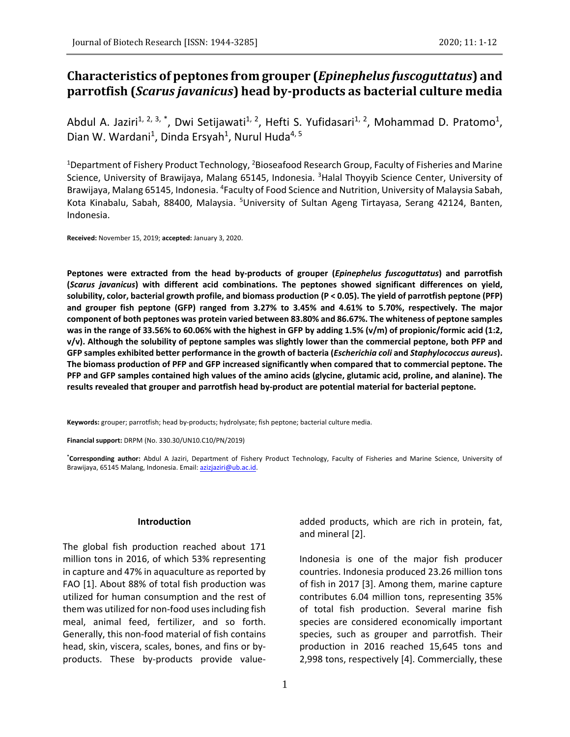# **Characteristics of peptones from grouper (***Epinephelus fuscoguttatus***) and parrotfish (***Scarus javanicus***) head by-products as bacterial culture media**

Abdul A. Jaziri<sup>1, 2, 3, \*</sup>, Dwi Setijawati<sup>1, 2</sup>, Hefti S. Yufidasari<sup>1, 2</sup>, Mohammad D. Pratomo<sup>1</sup>, Dian W. Wardani<sup>1</sup>, Dinda Ersyah<sup>1</sup>, Nurul Huda<sup>4, 5</sup>

<sup>1</sup>Department of Fishery Product Technology, <sup>2</sup>Bioseafood Research Group, Faculty of Fisheries and Marine Science, University of Brawijaya, Malang 65145, Indonesia. <sup>3</sup>Halal Thoyyib Science Center, University of Brawijaya, Malang 65145, Indonesia. <sup>4</sup>Faculty of Food Science and Nutrition, University of Malaysia Sabah, Kota Kinabalu, Sabah, 88400, Malaysia. <sup>5</sup>University of Sultan Ageng Tirtayasa, Serang 42124, Banten, Indonesia.

**Received:** November 15, 2019; **accepted:** January 3, 2020.

**Peptones were extracted from the head by-products of grouper (***Epinephelus fuscoguttatus***) and parrotfish (***Scarus javanicus***) with different acid combinations. The peptones showed significant differences on yield, solubility, color, bacterial growth profile, and biomass production (P < 0.05). The yield of parrotfish peptone (PFP) and grouper fish peptone (GFP) ranged from 3.27% to 3.45% and 4.61% to 5.70%, respectively. The major component of both peptones was protein varied between 83.80% and 86.67%. The whiteness of peptone samples was in the range of 33.56% to 60.06% with the highest in GFP by adding 1.5% (v/m) of propionic/formic acid (1:2, v/v). Although the solubility of peptone samples was slightly lower than the commercial peptone, both PFP and GFP samples exhibited better performance in the growth of bacteria (***Escherichia coli* **and** *Staphylococcus aureus***). The biomass production of PFP and GFP increased significantly when compared that to commercial peptone. The PFP and GFP samples contained high values of the amino acids (glycine, glutamic acid, proline, and alanine). The results revealed that grouper and parrotfish head by-product are potential material for bacterial peptone.**

**Keywords:** grouper; parrotfish; head by-products; hydrolysate; fish peptone; bacterial culture media.

**Financial support:** DRPM (No. 330.30/UN10.C10/PN/2019)

**\*Corresponding author:** Abdul A Jaziri, Department of Fishery Product Technology, Faculty of Fisheries and Marine Science, University of Brawijaya, 65145 Malang, Indonesia. Email[: azizjaziri@ub.ac.id.](mailto:azizjaziri@ub.ac.id)

### **Introduction**

The global fish production reached about 171 million tons in 2016, of which 53% representing in capture and 47% in aquaculture as reported by FAO [1]. About 88% of total fish production was utilized for human consumption and the rest of them was utilized for non-food uses including fish meal, animal feed, fertilizer, and so forth. Generally, this non-food material of fish contains head, skin, viscera, scales, bones, and fins or byproducts. These by-products provide valueadded products, which are rich in protein, fat, and mineral [2].

Indonesia is one of the major fish producer countries. Indonesia produced 23.26 million tons of fish in 2017 [3]. Among them, marine capture contributes 6.04 million tons, representing 35% of total fish production. Several marine fish species are considered economically important species, such as grouper and parrotfish. Their production in 2016 reached 15,645 tons and 2,998 tons, respectively [4]. Commercially, these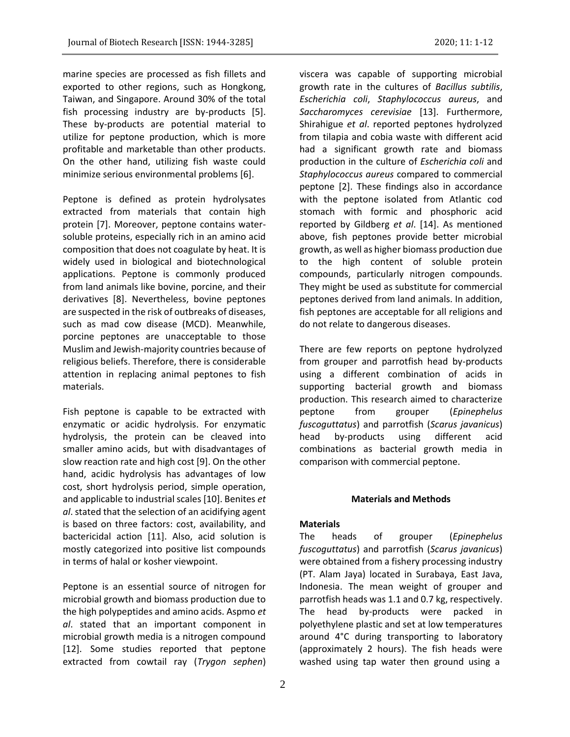marine species are processed as fish fillets and exported to other regions, such as Hongkong, Taiwan, and Singapore. Around 30% of the total fish processing industry are by-products [5].

These by-products are potential material to utilize for peptone production, which is more profitable and marketable than other products. On the other hand, utilizing fish waste could minimize serious environmental problems [6].

Peptone is defined as protein hydrolysates extracted from materials that contain high protein [7]. Moreover, peptone contains watersoluble proteins, especially rich in an amino acid composition that does not coagulate by heat. It is widely used in biological and biotechnological applications. Peptone is commonly produced from land animals like bovine, porcine, and their derivatives [8]. Nevertheless, bovine peptones are suspected in the risk of outbreaks of diseases, such as mad cow disease (MCD). Meanwhile, porcine peptones are unacceptable to those Muslim and Jewish-majority countries because of religious beliefs. Therefore, there is considerable attention in replacing animal peptones to fish materials.

Fish peptone is capable to be extracted with enzymatic or acidic hydrolysis. For enzymatic hydrolysis, the protein can be cleaved into smaller amino acids, but with disadvantages of slow reaction rate and high cost [9]. On the other hand, acidic hydrolysis has advantages of low cost, short hydrolysis period, simple operation, and applicable to industrial scales [10]. Benites *et al*. stated that the selection of an acidifying agent is based on three factors: cost, availability, and bactericidal action [11]. Also, acid solution is mostly categorized into positive list compounds in terms of halal or kosher viewpoint.

Peptone is an essential source of nitrogen for microbial growth and biomass production due to the high polypeptides and amino acids. Aspmo *et al*. stated that an important component in microbial growth media is a nitrogen compound [12]. Some studies reported that peptone extracted from cowtail ray (*Trygon sephen*)

viscera was capable of supporting microbial growth rate in the cultures of *Bacillus subtilis*, *Escherichia coli*, *Staphylococcus aureus*, and *Saccharomyces cerevisiae* [13]. Furthermore, Shirahigue *et al*. reported peptones hydrolyzed from tilapia and cobia waste with different acid had a significant growth rate and biomass production in the culture of *Escherichia coli* and *Staphylococcus aureus* compared to commercial peptone [2]. These findings also in accordance with the peptone isolated from Atlantic cod stomach with formic and phosphoric acid reported by Gildberg *et al*. [14]. As mentioned above, fish peptones provide better microbial growth, as well as higher biomass production due to the high content of soluble protein compounds, particularly nitrogen compounds. They might be used as substitute for commercial peptones derived from land animals. In addition, fish peptones are acceptable for all religions and do not relate to dangerous diseases.

There are few reports on peptone hydrolyzed from grouper and parrotfish head by-products using a different combination of acids in supporting bacterial growth and biomass production. This research aimed to characterize peptone from grouper (*Epinephelus fuscoguttatus*) and parrotfish (*Scarus javanicus*) head by-products using different acid combinations as bacterial growth media in comparison with commercial peptone.

#### **Materials and Methods**

#### **Materials**

The heads of grouper (*Epinephelus fuscoguttatus*) and parrotfish (*Scarus javanicus*) were obtained from a fishery processing industry (PT. Alam Jaya) located in Surabaya, East Java, Indonesia. The mean weight of grouper and parrotfish heads was 1.1 and 0.7 kg, respectively. The head by-products were packed in polyethylene plastic and set at low temperatures around 4°C during transporting to laboratory (approximately 2 hours). The fish heads were washed using tap water then ground using a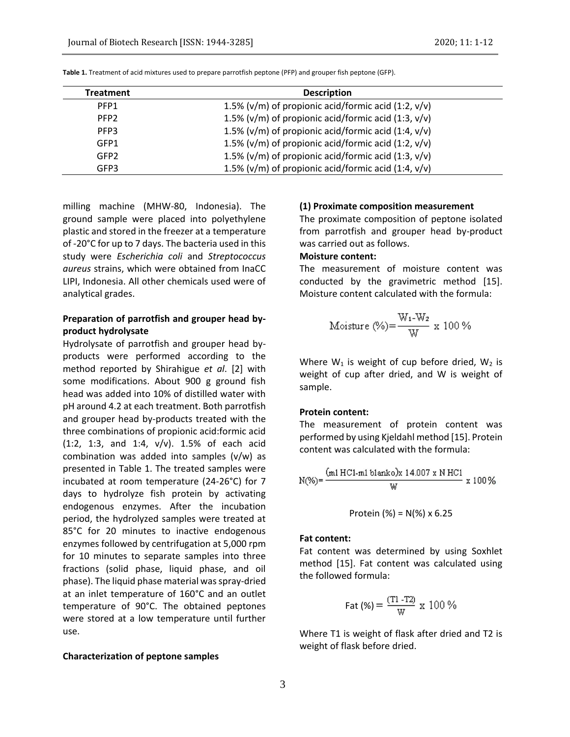| <b>Treatment</b> | <b>Description</b>                                         |
|------------------|------------------------------------------------------------|
| PFP <sub>1</sub> | 1.5% ( $v/m$ ) of propionic acid/formic acid (1:2, $v/v$ ) |
| PFP <sub>2</sub> | 1.5% ( $v/m$ ) of propionic acid/formic acid (1:3, $v/v$ ) |
| PFP3             | 1.5% ( $v/m$ ) of propionic acid/formic acid (1:4, $v/v$ ) |
| GFP1             | 1.5% ( $v/m$ ) of propionic acid/formic acid (1:2, $v/v$ ) |
| GFP <sub>2</sub> | 1.5% ( $v/m$ ) of propionic acid/formic acid (1:3, $v/v$ ) |
| GFP3             | 1.5% ( $v/m$ ) of propionic acid/formic acid (1:4, $v/v$ ) |

**Table 1.** Treatment of acid mixtures used to prepare parrotfish peptone (PFP) and grouper fish peptone (GFP).

milling machine (MHW-80, Indonesia). The ground sample were placed into polyethylene plastic and stored in the freezer at a temperature of -20°C for up to 7 days. The bacteria used in this study were *Escherichia coli* and *Streptococcus aureus* strains, which were obtained from InaCC LIPI, Indonesia. All other chemicals used were of analytical grades.

# **Preparation of parrotfish and grouper head byproduct hydrolysate**

Hydrolysate of parrotfish and grouper head byproducts were performed according to the method reported by Shirahigue *et al*. [2] with some modifications. About 900 g ground fish head was added into 10% of distilled water with pH around 4.2 at each treatment. Both parrotfish and grouper head by-products treated with the three combinations of propionic acid:formic acid (1:2, 1:3, and 1:4, v/v). 1.5% of each acid combination was added into samples (v/w) as presented in Table 1. The treated samples were incubated at room temperature (24-26°C) for 7 days to hydrolyze fish protein by activating endogenous enzymes. After the incubation period, the hydrolyzed samples were treated at 85°C for 20 minutes to inactive endogenous enzymes followed by centrifugation at 5,000 rpm for 10 minutes to separate samples into three fractions (solid phase, liquid phase, and oil phase). The liquid phase material was spray-dried at an inlet temperature of 160°C and an outlet temperature of 90°C. The obtained peptones were stored at a low temperature until further use.

#### **Characterization of peptone samples**

#### **(1) Proximate composition measurement**

The proximate composition of peptone isolated from parrotfish and grouper head by-product was carried out as follows.

# **Moisture content:**

The measurement of moisture content was conducted by the gravimetric method [15]. Moisture content calculated with the formula:

Moisture (%) = 
$$
\frac{W_1-W_2}{W} \times 100\%
$$

Where  $W_1$  is weight of cup before dried,  $W_2$  is weight of cup after dried, and W is weight of sample.

#### **Protein content:**

The measurement of protein content was performed by using Kjeldahl method [15]. Protein content was calculated with the formula:

$$
N(\%) = \frac{(m1 \text{ HCl} \cdot m1 \text{ blanko}) \times 14.007 \times N \text{ HCl}}{W} \times 100\%
$$

Protein (%) = N(%) x 6.25

## **Fat content:**

Fat content was determined by using Soxhlet method [15]. Fat content was calculated using the followed formula:

$$
Fat (%) = \frac{(T1 - T2)}{W} \times 100\%
$$

Where T1 is weight of flask after dried and T2 is weight of flask before dried.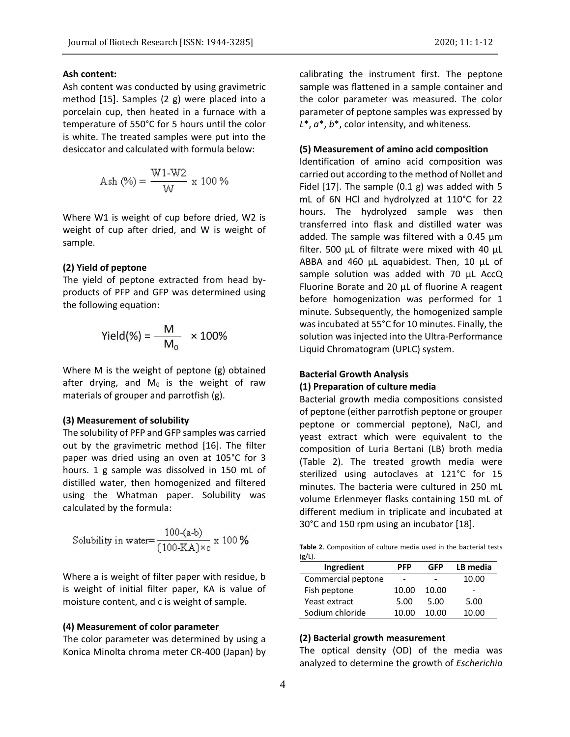# **Ash content:**

Ash content was conducted by using gravimetric method [15]. Samples (2 g) were placed into a porcelain cup, then heated in a furnace with a temperature of 550°C for 5 hours until the color is white. The treated samples were put into the desiccator and calculated with formula below:

$$
Ash (\%) = \frac{W1-W2}{W} \times 100 \%
$$

Where W1 is weight of cup before dried, W2 is weight of cup after dried, and W is weight of sample.

#### **(2) Yield of peptone**

The yield of peptone extracted from head byproducts of PFP and GFP was determined using the following equation:

$$
Yield(\%) = \frac{M}{M_0} \times 100\%
$$

Where M is the weight of peptone (g) obtained after drying, and  $M_0$  is the weight of raw materials of grouper and parrotfish (g).

## **(3) Measurement of solubility**

The solubility of PFP and GFP samples was carried out by the gravimetric method [16]. The filter paper was dried using an oven at 105°C for 3 hours. 1 g sample was dissolved in 150 mL of distilled water, then homogenized and filtered using the Whatman paper. Solubility was calculated by the formula:

Solubility in water=
$$
\frac{100-(a-b)}{(100-KA)\times c} \times 100\%
$$

Where a is weight of filter paper with residue, b is weight of initial filter paper, KA is value of moisture content, and c is weight of sample.

## **(4) Measurement of color parameter**

The color parameter was determined by using a Konica Minolta chroma meter CR-400 (Japan) by calibrating the instrument first. The peptone sample was flattened in a sample container and the color parameter was measured. The color parameter of peptone samples was expressed by *L*\*, *a*\*, *b*\*, color intensity, and whiteness.

## **(5) Measurement of amino acid composition**

Identification of amino acid composition was carried out according to the method of Nollet and Fidel  $[17]$ . The sample  $(0.1 g)$  was added with 5 mL of 6N HCl and hydrolyzed at 110°C for 22 hours. The hydrolyzed sample was then transferred into flask and distilled water was added. The sample was filtered with a 0.45 um filter. 500 µL of filtrate were mixed with 40 µL ABBA and 460 µL aquabidest. Then, 10 µL of sample solution was added with 70 µL AccQ Fluorine Borate and 20 μL of fluorine A reagent before homogenization was performed for 1 minute. Subsequently, the homogenized sample was incubated at 55°C for 10 minutes. Finally, the solution was injected into the Ultra-Performance Liquid Chromatogram (UPLC) system.

# **Bacterial Growth Analysis**

# **(1) Preparation of culture media**

Bacterial growth media compositions consisted of peptone (either parrotfish peptone or grouper peptone or commercial peptone), NaCl, and yeast extract which were equivalent to the composition of Luria Bertani (LB) broth media (Table 2). The treated growth media were sterilized using autoclaves at 121°C for 15 minutes. The bacteria were cultured in 250 mL volume Erlenmeyer flasks containing 150 mL of different medium in triplicate and incubated at 30°C and 150 rpm using an incubator [18].

**Table 2**. Composition of culture media used in the bacterial tests  $(g/L)$ .

| Ingredient         | PFP   | GFP   | LB media |
|--------------------|-------|-------|----------|
| Commercial peptone |       |       | 10.00    |
| Fish peptone       | 10.00 | 10.00 |          |
| Yeast extract      | 5.00  | 5.00  | 5.00     |
| Sodium chloride    | 10.00 | 10.00 | 10.00    |

## **(2) Bacterial growth measurement**

The optical density (OD) of the media was analyzed to determine the growth of *Escherichia*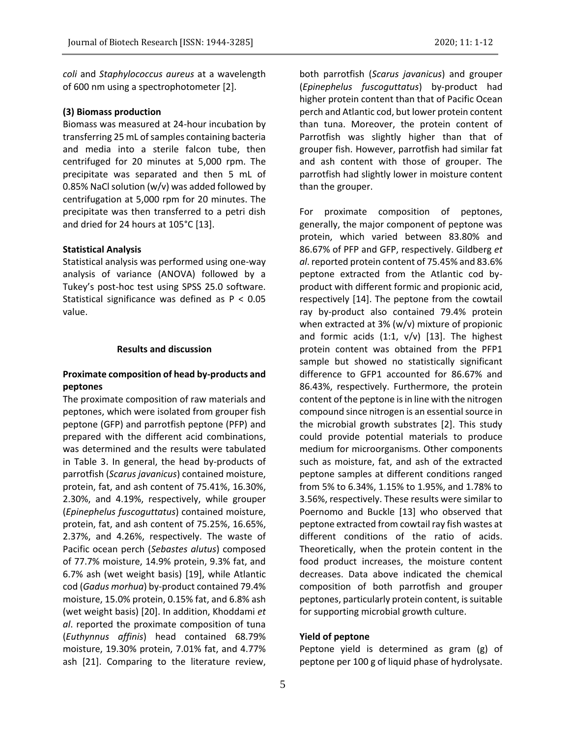*coli* and *Staphylococcus aureus* at a wavelength of 600 nm using a spectrophotometer [2].

## **(3) Biomass production**

Biomass was measured at 24-hour incubation by transferring 25 mL of samples containing bacteria and media into a sterile falcon tube, then centrifuged for 20 minutes at 5,000 rpm. The precipitate was separated and then 5 mL of 0.85% NaCl solution (w/v) was added followed by centrifugation at 5,000 rpm for 20 minutes. The precipitate was then transferred to a petri dish and dried for 24 hours at 105°C [13].

#### **Statistical Analysis**

Statistical analysis was performed using one-way analysis of variance (ANOVA) followed by a Tukey's post-hoc test using SPSS 25.0 software. Statistical significance was defined as P < 0.05 value.

## **Results and discussion**

# **Proximate composition of head by-products and peptones**

The proximate composition of raw materials and peptones, which were isolated from grouper fish peptone (GFP) and parrotfish peptone (PFP) and prepared with the different acid combinations, was determined and the results were tabulated in Table 3. In general, the head by-products of parrotfish (*Scarus javanicus*) contained moisture, protein, fat, and ash content of 75.41%, 16.30%, 2.30%, and 4.19%, respectively, while grouper (*Epinephelus fuscoguttatus*) contained moisture, protein, fat, and ash content of 75.25%, 16.65%, 2.37%, and 4.26%, respectively. The waste of Pacific ocean perch (*Sebastes alutus*) composed of 77.7% moisture, 14.9% protein, 9.3% fat, and 6.7% ash (wet weight basis) [19], while Atlantic cod (*Gadus morhua*) by-product contained 79.4% moisture, 15.0% protein, 0.15% fat, and 6.8% ash (wet weight basis) [20]. In addition, Khoddami *et al*. reported the proximate composition of tuna (*Euthynnus affinis*) head contained 68.79% moisture, 19.30% protein, 7.01% fat, and 4.77% ash [21]. Comparing to the literature review,

both parrotfish (*Scarus javanicus*) and grouper (*Epinephelus fuscoguttatus*) by-product had higher protein content than that of Pacific Ocean perch and Atlantic cod, but lower protein content than tuna. Moreover, the protein content of Parrotfish was slightly higher than that of grouper fish. However, parrotfish had similar fat and ash content with those of grouper. The parrotfish had slightly lower in moisture content than the grouper.

For proximate composition of peptones, generally, the major component of peptone was protein, which varied between 83.80% and 86.67% of PFP and GFP, respectively. Gildberg *et al*. reported protein content of 75.45% and 83.6% peptone extracted from the Atlantic cod byproduct with different formic and propionic acid, respectively [14]. The peptone from the cowtail ray by-product also contained 79.4% protein when extracted at 3% (w/v) mixture of propionic and formic acids  $(1:1, v/v)$  [13]. The highest protein content was obtained from the PFP1 sample but showed no statistically significant difference to GFP1 accounted for 86.67% and 86.43%, respectively. Furthermore, the protein content of the peptone is in line with the nitrogen compound since nitrogen is an essential source in the microbial growth substrates [2]. This study could provide potential materials to produce medium for microorganisms. Other components such as moisture, fat, and ash of the extracted peptone samples at different conditions ranged from 5% to 6.34%, 1.15% to 1.95%, and 1.78% to 3.56%, respectively. These results were similar to Poernomo and Buckle [13] who observed that peptone extracted from cowtail ray fish wastes at different conditions of the ratio of acids. Theoretically, when the protein content in the food product increases, the moisture content decreases. Data above indicated the chemical composition of both parrotfish and grouper peptones, particularly protein content, is suitable for supporting microbial growth culture.

## **Yield of peptone**

Peptone yield is determined as gram (g) of peptone per 100 g of liquid phase of hydrolysate.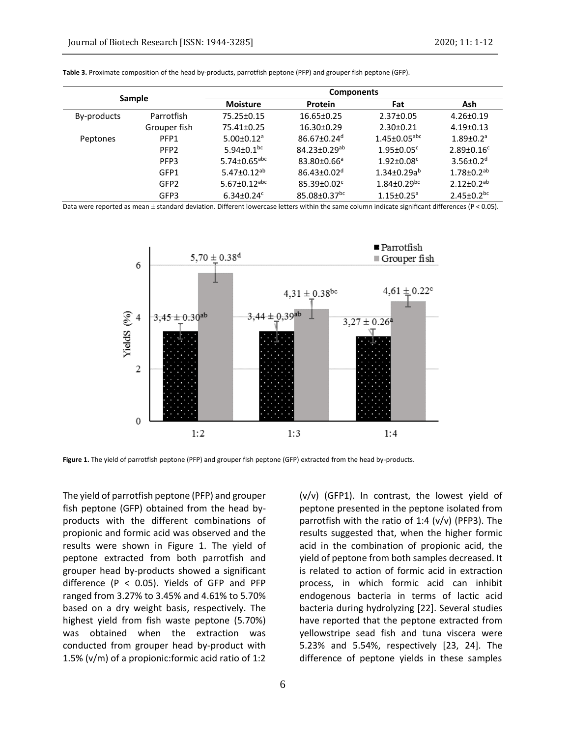| Sample      |                  | <b>Components</b>              |                                |                                |                              |  |  |  |
|-------------|------------------|--------------------------------|--------------------------------|--------------------------------|------------------------------|--|--|--|
|             |                  | <b>Moisture</b>                | <b>Protein</b>                 | Fat                            | Ash                          |  |  |  |
| By-products | Parrotfish       | 75.25±0.15                     | 16.65±0.25                     | $2.37 \pm 0.05$                | $4.26 \pm 0.19$              |  |  |  |
|             | Grouper fish     | 75.41±0.25                     | $16.30 \pm 0.29$               | $2.30 \pm 0.21$                | $4.19 \pm 0.13$              |  |  |  |
| Peptones    | PFP1             | $5.00 \pm 0.12$ <sup>a</sup>   | $86.67 \pm 0.24$ <sup>d</sup>  | $1.45 \pm 0.05$ <sup>abc</sup> | $1.89 \pm 0.2$ <sup>a</sup>  |  |  |  |
|             | PFP <sub>2</sub> | 5.94 $\pm$ 0.1 <sup>bc</sup>   | $84.23 \pm 0.29$ <sup>ab</sup> | $1.95 \pm 0.05$ <sup>c</sup>   | $2.89 \pm 0.16^c$            |  |  |  |
|             | PFP3             | 5.74 $\pm$ 0.65 <sup>abc</sup> | 83.80±0.66 <sup>a</sup>        | $1.92 \pm 0.08$ <sup>c</sup>   | $3.56 \pm 0.2$ <sup>d</sup>  |  |  |  |
|             | GFP1             | 5.47 $\pm$ 0.12 <sup>ab</sup>  | $86.43 \pm 0.02$ <sup>d</sup>  | $1.34\pm0.29a^{b}$             | $1.78 \pm 0.2$ <sup>ab</sup> |  |  |  |
|             | GFP <sub>2</sub> | 5.67 $\pm$ 0.12 <sup>abc</sup> | $85.39 \pm 0.02$ <sup>c</sup>  | $1.84 \pm 0.29$ <sup>bc</sup>  | $2.12 \pm 0.2$ <sup>ab</sup> |  |  |  |
|             | GFP3             | $6.34 \pm 0.24$ <sup>c</sup>   | $85.08 \pm 0.37$ <sup>bc</sup> | $1.15 \pm 0.25$ <sup>a</sup>   | $2.45 \pm 0.2$ <sub>bc</sub> |  |  |  |

**Table 3.** Proximate composition of the head by-products, parrotfish peptone (PFP) and grouper fish peptone (GFP).

Data were reported as mean  $\pm$  standard deviation. Different lowercase letters within the same column indicate significant differences (P < 0.05).



**Figure 1.** The yield of parrotfish peptone (PFP) and grouper fish peptone (GFP) extracted from the head by-products.

The yield of parrotfish peptone (PFP) and grouper fish peptone (GFP) obtained from the head byproducts with the different combinations of propionic and formic acid was observed and the results were shown in Figure 1. The yield of peptone extracted from both parrotfish and grouper head by-products showed a significant difference (P < 0.05). Yields of GFP and PFP ranged from 3.27% to 3.45% and 4.61% to 5.70% based on a dry weight basis, respectively. The highest yield from fish waste peptone (5.70%) was obtained when the extraction was conducted from grouper head by-product with 1.5% (v/m) of a propionic:formic acid ratio of 1:2

(v/v) (GFP1). In contrast, the lowest yield of peptone presented in the peptone isolated from parrotfish with the ratio of 1:4 (v/v) (PFP3). The results suggested that, when the higher formic acid in the combination of propionic acid, the yield of peptone from both samples decreased. It is related to action of formic acid in extraction process, in which formic acid can inhibit endogenous bacteria in terms of lactic acid bacteria during hydrolyzing [22]. Several studies have reported that the peptone extracted from yellowstripe sead fish and tuna viscera were 5.23% and 5.54%, respectively [23, 24]. The difference of peptone yields in these samples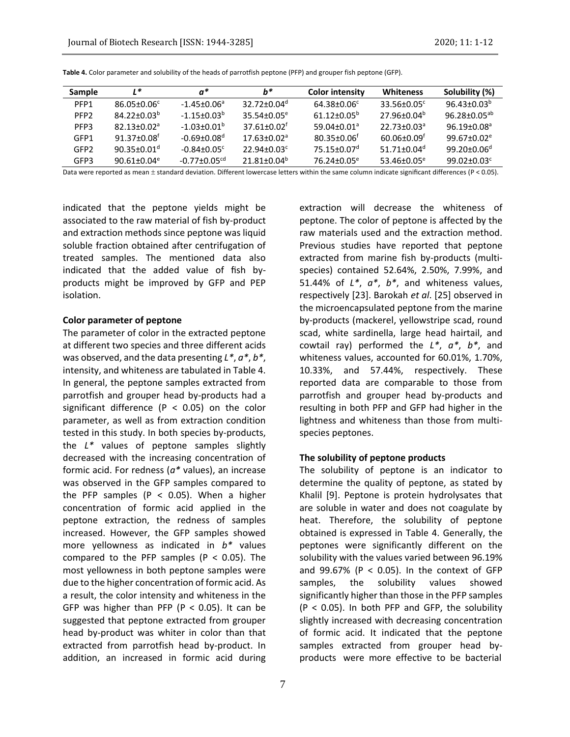| <b>Sample</b>    | $1*$                          | a*                           | b*                          | <b>Color intensity</b>        | Whiteness                     | Solubility (%)           |
|------------------|-------------------------------|------------------------------|-----------------------------|-------------------------------|-------------------------------|--------------------------|
| PFP1             | 86.05±0.06°                   | $-1.45 + 0.06^a$             | $32.72 + 0.04d$             | $64.38 + 0.06^c$              | $33.56 + 0.05^{\circ}$        | $96.43 + 0.03b$          |
| PFP <sub>2</sub> | $84.22 + 0.03^b$              | $-1.15 + 0.03^{b}$           | $35.54 + 0.05^e$            | $61.12 + 0.05^b$              | $27.96 + 0.04^b$              | 96.28+0.05 <sup>ab</sup> |
| PFP3             | $82.13 + 0.02a$               | $-1.03 + 0.01$ <sup>b</sup>  | $37.61 + 0.02$ <sup>f</sup> | $59.04 + 0.01a$               | $22.73 + 0.03a$               | $96.19 + 0.08a$          |
| GFP1             | $91.37 \pm 0.08$ <sup>f</sup> | $-0.69 + 0.08d$              | $17.63 + 0.02a$             | $80.35 + 0.06$                | $60.06 + 0.09$ <sup>t</sup>   | $99.67 + 0.02e$          |
| GFP2             | $90.35 + 0.01$ <sup>d</sup>   | $-0.84 + 0.05$ <sup>c</sup>  | $22.94 + 0.03c$             | $75.15 \pm 0.07$ <sup>d</sup> | 51.71 $\pm$ 0.04 <sup>d</sup> | $99.20 + 0.06^d$         |
| GFP3             | $90.61 + 0.04$ <sup>e</sup>   | $-0.77 + 0.05$ <sup>cd</sup> | $21.81 + 0.04^b$            | 76.24+0.05 <sup>e</sup>       | $53.46 + 0.05^e$              | $99.02 + 0.03c$          |

**Table 4.** Color parameter and solubility of the heads of parrotfish peptone (PFP) and grouper fish peptone (GFP).

Data were reported as mean  $\pm$  standard deviation. Different lowercase letters within the same column indicate significant differences (P < 0.05).

indicated that the peptone yields might be associated to the raw material of fish by-product and extraction methods since peptone was liquid soluble fraction obtained after centrifugation of treated samples. The mentioned data also indicated that the added value of fish byproducts might be improved by GFP and PEP isolation.

#### **Color parameter of peptone**

The parameter of color in the extracted peptone at different two species and three different acids was observed, and the data presenting *L\**, *a\**, *b\**, intensity, and whiteness are tabulated in Table 4. In general, the peptone samples extracted from parrotfish and grouper head by-products had a significant difference ( $P < 0.05$ ) on the color parameter, as well as from extraction condition tested in this study. In both species by-products, the *L\** values of peptone samples slightly decreased with the increasing concentration of formic acid. For redness (*a\** values), an increase was observed in the GFP samples compared to the PFP samples ( $P < 0.05$ ). When a higher concentration of formic acid applied in the peptone extraction, the redness of samples increased. However, the GFP samples showed more yellowness as indicated in *b\** values compared to the PFP samples ( $P < 0.05$ ). The most yellowness in both peptone samples were due to the higher concentration of formic acid. As a result, the color intensity and whiteness in the GFP was higher than PFP ( $P < 0.05$ ). It can be suggested that peptone extracted from grouper head by-product was whiter in color than that extracted from parrotfish head by-product. In addition, an increased in formic acid during

7

extraction will decrease the whiteness of peptone. The color of peptone is affected by the raw materials used and the extraction method. Previous studies have reported that peptone extracted from marine fish by-products (multispecies) contained 52.64%, 2.50%, 7.99%, and 51.44% of *L\**, *a\**, *b\**, and whiteness values, respectively [23]. Barokah *et al*. [25] observed in the microencapsulated peptone from the marine by-products (mackerel, yellowstripe scad, round scad, white sardinella, large head hairtail, and cowtail ray) performed the *L\**, *a\**, *b\**, and whiteness values, accounted for 60.01%, 1.70%, 10.33%, and 57.44%, respectively. These reported data are comparable to those from parrotfish and grouper head by-products and resulting in both PFP and GFP had higher in the lightness and whiteness than those from multispecies peptones.

#### **The solubility of peptone products**

The solubility of peptone is an indicator to determine the quality of peptone, as stated by Khalil [9]. Peptone is protein hydrolysates that are soluble in water and does not coagulate by heat. Therefore, the solubility of peptone obtained is expressed in Table 4. Generally, the peptones were significantly different on the solubility with the values varied between 96.19% and  $99.67\%$  (P < 0.05). In the context of GFP samples, the solubility values showed significantly higher than those in the PFP samples (P < 0.05). In both PFP and GFP, the solubility slightly increased with decreasing concentration of formic acid. It indicated that the peptone samples extracted from grouper head byproducts were more effective to be bacterial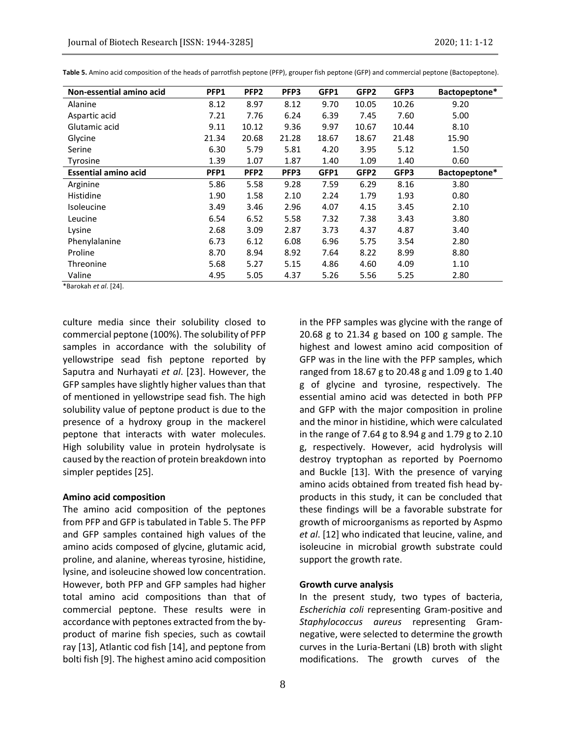| Non-essential amino acid    | PFP1  | PFP <sub>2</sub> | PFP3  | GFP1  | GFP2             | GFP3  | Bactopeptone* |
|-----------------------------|-------|------------------|-------|-------|------------------|-------|---------------|
| Alanine                     | 8.12  | 8.97             | 8.12  | 9.70  | 10.05            | 10.26 | 9.20          |
| Aspartic acid               | 7.21  | 7.76             | 6.24  | 6.39  | 7.45             | 7.60  | 5.00          |
| Glutamic acid               | 9.11  | 10.12            | 9.36  | 9.97  | 10.67            | 10.44 | 8.10          |
| Glycine                     | 21.34 | 20.68            | 21.28 | 18.67 | 18.67            | 21.48 | 15.90         |
| Serine                      | 6.30  | 5.79             | 5.81  | 4.20  | 3.95             | 5.12  | 1.50          |
| Tyrosine                    | 1.39  | 1.07             | 1.87  | 1.40  | 1.09             | 1.40  | 0.60          |
| <b>Essential amino acid</b> | PFP1  | PFP <sub>2</sub> | PFP3  | GFP1  | GFP <sub>2</sub> | GFP3  | Bactopeptone* |
| Arginine                    | 5.86  | 5.58             | 9.28  | 7.59  | 6.29             | 8.16  | 3.80          |
| Histidine                   | 1.90  | 1.58             | 2.10  | 2.24  | 1.79             | 1.93  | 0.80          |
| <b>Isoleucine</b>           | 3.49  | 3.46             | 2.96  | 4.07  | 4.15             | 3.45  | 2.10          |
| Leucine                     | 6.54  | 6.52             | 5.58  | 7.32  | 7.38             | 3.43  | 3.80          |
| Lysine                      | 2.68  | 3.09             | 2.87  | 3.73  | 4.37             | 4.87  | 3.40          |
| Phenylalanine               | 6.73  | 6.12             | 6.08  | 6.96  | 5.75             | 3.54  | 2.80          |
| Proline                     | 8.70  | 8.94             | 8.92  | 7.64  | 8.22             | 8.99  | 8.80          |
| Threonine                   | 5.68  | 5.27             | 5.15  | 4.86  | 4.60             | 4.09  | 1.10          |
| Valine                      | 4.95  | 5.05             | 4.37  | 5.26  | 5.56             | 5.25  | 2.80          |

**Table 5.** Amino acid composition of the heads of parrotfish peptone (PFP), grouper fish peptone (GFP) and commercial peptone (Bactopeptone).

\*Barokah *et al*. [24].

culture media since their solubility closed to commercial peptone (100%). The solubility of PFP samples in accordance with the solubility of yellowstripe sead fish peptone reported by Saputra and Nurhayati *et al*. [23]. However, the GFP samples have slightly higher values than that of mentioned in yellowstripe sead fish. The high solubility value of peptone product is due to the presence of a hydroxy group in the mackerel peptone that interacts with water molecules. High solubility value in protein hydrolysate is caused by the reaction of protein breakdown into simpler peptides [25].

#### **Amino acid composition**

The amino acid composition of the peptones from PFP and GFP is tabulated in Table 5. The PFP and GFP samples contained high values of the amino acids composed of glycine, glutamic acid, proline, and alanine, whereas tyrosine, histidine, lysine, and isoleucine showed low concentration. However, both PFP and GFP samples had higher total amino acid compositions than that of commercial peptone. These results were in accordance with peptones extracted from the byproduct of marine fish species, such as cowtail ray [13], Atlantic cod fish [14], and peptone from bolti fish [9]. The highest amino acid composition

in the PFP samples was glycine with the range of 20.68 g to 21.34 g based on 100 g sample. The highest and lowest amino acid composition of GFP was in the line with the PFP samples, which ranged from 18.67 g to 20.48 g and 1.09 g to 1.40 g of glycine and tyrosine, respectively. The essential amino acid was detected in both PFP and GFP with the major composition in proline and the minor in histidine, which were calculated in the range of 7.64 g to 8.94 g and 1.79 g to 2.10 g, respectively. However, acid hydrolysis will destroy tryptophan as reported by Poernomo and Buckle [13]. With the presence of varying amino acids obtained from treated fish head byproducts in this study, it can be concluded that these findings will be a favorable substrate for growth of microorganisms as reported by Aspmo *et al*. [12] who indicated that leucine, valine, and isoleucine in microbial growth substrate could support the growth rate.

#### **Growth curve analysis**

In the present study, two types of bacteria, *Escherichia coli* representing Gram-positive and *Staphylococcus aureus* representing Gramnegative, were selected to determine the growth curves in the Luria-Bertani (LB) broth with slight modifications. The growth curves of the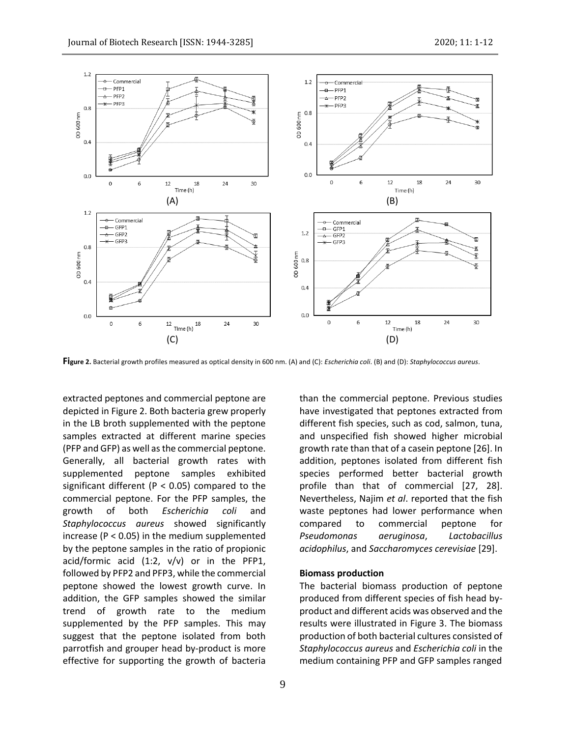

**Figure 2.** Bacterial growth profiles measured as optical density in 600 nm. (A) and (C): *Escherichia coli*. (B) and (D): *Staphylococcus aureus*.

extracted peptones and commercial peptone are depicted in Figure 2. Both bacteria grew properly in the LB broth supplemented with the peptone samples extracted at different marine species (PFP and GFP) as well as the commercial peptone. Generally, all bacterial growth rates with supplemented peptone samples exhibited significant different ( $P < 0.05$ ) compared to the commercial peptone. For the PFP samples, the growth of both *Escherichia coli* and *Staphylococcus aureus* showed significantly increase ( $P < 0.05$ ) in the medium supplemented by the peptone samples in the ratio of propionic acid/formic acid  $(1:2, v/v)$  or in the PFP1, followed by PFP2 and PFP3, while the commercial peptone showed the lowest growth curve. In addition, the GFP samples showed the similar trend of growth rate to the medium supplemented by the PFP samples. This may suggest that the peptone isolated from both parrotfish and grouper head by-product is more effective for supporting the growth of bacteria

9

than the commercial peptone. Previous studies have investigated that peptones extracted from different fish species, such as cod, salmon, tuna, and unspecified fish showed higher microbial growth rate than that of a casein peptone [26]. In addition, peptones isolated from different fish species performed better bacterial growth profile than that of commercial [27, 28]. Nevertheless, Najim *et al*. reported that the fish waste peptones had lower performance when compared to commercial peptone for *Pseudomonas aeruginosa*, *Lactobacillus acidophilus*, and *Saccharomyces cerevisiae* [29].

# **Biomass production**

The bacterial biomass production of peptone produced from different species of fish head byproduct and different acids was observed and the results were illustrated in Figure 3. The biomass production of both bacterial cultures consisted of *Staphylococcus aureus* and *Escherichia coli* in the medium containing PFP and GFP samples ranged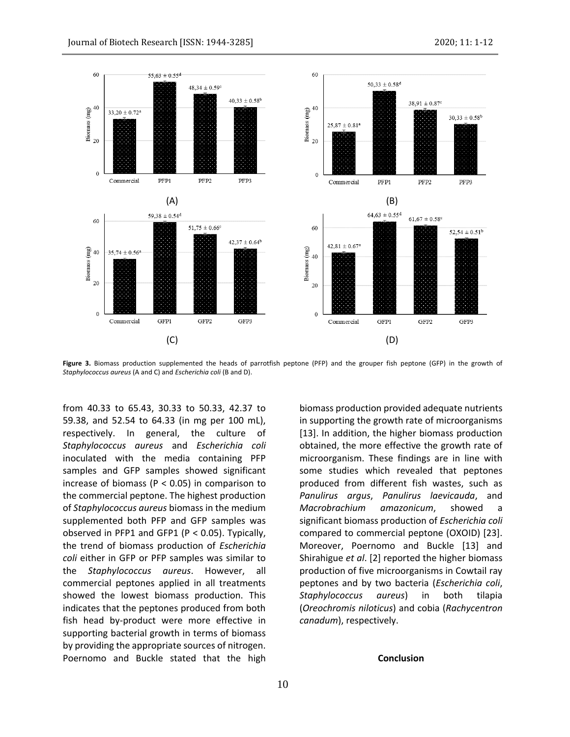

**Figure 3.** Biomass production supplemented the heads of parrotfish peptone (PFP) and the grouper fish peptone (GFP) in the growth of *Staphylococcus aureus* (A and C) and *Escherichia coli* (B and D).

from 40.33 to 65.43, 30.33 to 50.33, 42.37 to 59.38, and 52.54 to 64.33 (in mg per 100 mL), respectively. In general, the culture of *Staphylococcus aureus* and *Escherichia coli* inoculated with the media containing PFP samples and GFP samples showed significant increase of biomass ( $P < 0.05$ ) in comparison to the commercial peptone. The highest production of *Staphylococcus aureus* biomass in the medium supplemented both PFP and GFP samples was observed in PFP1 and GFP1 (P < 0.05). Typically, the trend of biomass production of *Escherichia coli* either in GFP or PFP samples was similar to the *Staphylococcus aureus*. However, all commercial peptones applied in all treatments showed the lowest biomass production. This indicates that the peptones produced from both fish head by-product were more effective in supporting bacterial growth in terms of biomass by providing the appropriate sources of nitrogen. Poernomo and Buckle stated that the high

biomass production provided adequate nutrients in supporting the growth rate of microorganisms [13]. In addition, the higher biomass production obtained, the more effective the growth rate of microorganism. These findings are in line with some studies which revealed that peptones produced from different fish wastes, such as *Panulirus argus*, *Panulirus laevicauda*, and *Macrobrachium amazonicum*, showed a significant biomass production of *Escherichia coli* compared to commercial peptone (OXOID) [23]. Moreover, Poernomo and Buckle [13] and Shirahigue *et al*. [2] reported the higher biomass production of five microorganisms in Cowtail ray peptones and by two bacteria (*Escherichia coli*, *Staphylococcus aureus*) in both tilapia (*Oreochromis niloticus*) and cobia (*Rachycentron canadum*), respectively.

#### **Conclusion**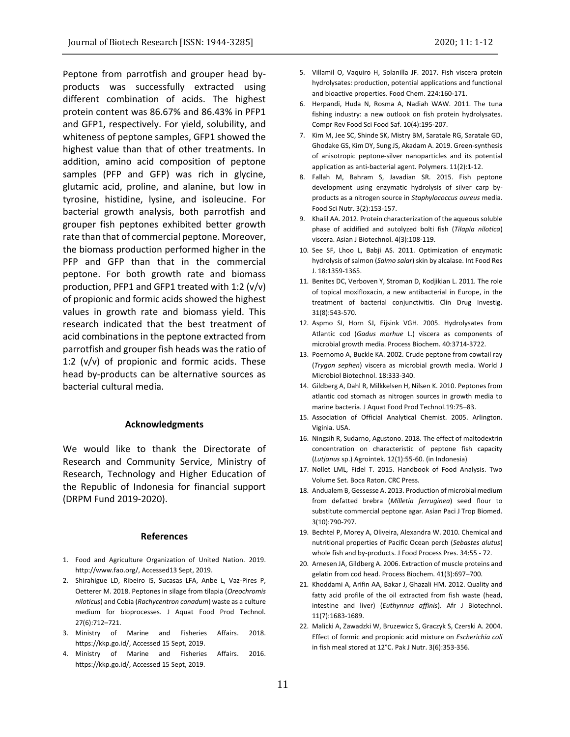Peptone from parrotfish and grouper head byproducts was successfully extracted using different combination of acids. The highest protein content was 86.67% and 86.43% in PFP1 and GFP1, respectively. For yield, solubility, and whiteness of peptone samples, GFP1 showed the highest value than that of other treatments. In addition, amino acid composition of peptone samples (PFP and GFP) was rich in glycine, glutamic acid, proline, and alanine, but low in tyrosine, histidine, lysine, and isoleucine. For bacterial growth analysis, both parrotfish and grouper fish peptones exhibited better growth rate than that of commercial peptone. Moreover, the biomass production performed higher in the PFP and GFP than that in the commercial peptone. For both growth rate and biomass production, PFP1 and GFP1 treated with 1:2  $(v/v)$ of propionic and formic acids showed the highest values in growth rate and biomass yield. This research indicated that the best treatment of acid combinations in the peptone extracted from parrotfish and grouper fish heads was the ratio of 1:2  $(v/v)$  of propionic and formic acids. These head by-products can be alternative sources as bacterial cultural media.

#### **Acknowledgments**

We would like to thank the Directorate of Research and Community Service, Ministry of Research, Technology and Higher Education of the Republic of Indonesia for financial support (DRPM Fund 2019-2020).

#### **References**

- 1. Food and Agriculture Organization of United Nation. 2019. http://www.fao.org/, Accessed13 Sept, 2019.
- 2. Shirahigue LD, Ribeiro IS, Sucasas LFA, Anbe L, Vaz-Pires P, Oetterer M. 2018. Peptones in silage from tilapia (*Oreochromis niloticus*) and Cobia (*Rachycentron canadum*) waste as a culture medium for bioprocesses. J Aquat Food Prod Technol. 27(6):712–721.
- 3. Ministry of Marine and Fisheries Affairs. 2018. https://kkp.go.id/, Accessed 15 Sept, 2019.
- 4. Ministry of Marine and Fisheries Affairs. 2016. https://kkp.go.id/, Accessed 15 Sept, 2019.
- 5. Villamil O, Vaquiro H, Solanilla JF. 2017. Fish viscera protein hydrolysates: production, potential applications and functional and bioactive properties. Food Chem. 224:160-171.
- 6. Herpandi, Huda N, Rosma A, Nadiah WAW. 2011. The tuna fishing industry: a new outlook on fish protein hydrolysates. Compr Rev Food Sci Food Saf. 10(4):195-207.
- 7. Kim M, Jee SC, Shinde SK, Mistry BM, Saratale RG, Saratale GD, Ghodake GS, Kim DY, Sung JS, Akadam A. 2019. Green-synthesis of anisotropic peptone-silver nanoparticles and its potential application as anti-bacterial agent. Polymers. 11(2):1-12.
- 8. Fallah M, Bahram S, Javadian SR. 2015. Fish peptone development using enzymatic hydrolysis of silver carp byproducts as a nitrogen source in *Staphylococcus aureus* media. Food Sci Nutr. 3(2):153-157.
- 9. Khalil AA. 2012. Protein characterization of the aqueous soluble phase of acidified and autolyzed bolti fish (*Tilapia nilotica*) viscera. Asian J Biotechnol. 4(3):108-119.
- 10. See SF, Lhoo L, Babji AS. 2011. Optimization of enzymatic hydrolysis of salmon (*Salmo salar*) skin by alcalase. Int Food Res J. 18:1359-1365.
- 11. Benites DC, Verboven Y, Stroman D, Kodjikian L. 2011. The role of topical moxifloxacin, a new antibacterial in Europe, in the treatment of bacterial conjunctivitis. Clin Drug Investig. 31(8):543-570.
- 12. Aspmo SI, Horn SJ, Eijsink VGH. 2005. Hydrolysates from Atlantic cod (*Gadus morhue* L.) viscera as components of microbial growth media. Process Biochem. 40:3714-3722.
- 13. Poernomo A, Buckle KA. 2002. Crude peptone from cowtail ray (*Trygon sephen*) viscera as microbial growth media. World J Microbiol Biotechnol. 18:333-340.
- 14. Gildberg A, Dahl R, Milkkelsen H, Nilsen K. 2010. Peptones from atlantic cod stomach as nitrogen sources in growth media to marine bacteria. J Aquat Food Prod Technol.19:75–83.
- 15. Association of Official Analytical Chemist. 2005. Arlington. Viginia. USA.
- 16. Ningsih R, Sudarno, Agustono. 2018. The effect of maltodextrin concentration on characteristic of peptone fish capacity (*Lutjanus* sp.) Agrointek. 12(1):55-60. (in Indonesia)
- 17. Nollet LML, Fidel T. 2015. Handbook of Food Analysis. Two Volume Set. Boca Raton. CRC Press.
- 18. Andualem B, Gessesse A. 2013. Production of microbial medium from defatted brebra (*Milletia ferruginea*) seed flour to substitute commercial peptone agar. Asian Paci J Trop Biomed. 3(10):790-797.
- 19. Bechtel P, Morey A, Oliveira, Alexandra W. 2010. Chemical and nutritional properties of Pacific Ocean perch (*Sebastes alutus*) whole fish and by-products. J Food Process Pres. 34:55 - 72.
- 20. Arnesen JA, Gildberg A. 2006. Extraction of muscle proteins and gelatin from cod head. Process Biochem. 41(3):697–700.
- 21. Khoddami A, Arifin AA, Bakar J, Ghazali HM. 2012. Quality and fatty acid profile of the oil extracted from fish waste (head, intestine and liver) (*Euthynnus affinis*). Afr J Biotechnol. 11(7):1683-1689.
- 22. Malicki A, Zawadzki W, Bruzewicz S, Graczyk S, Czerski A. 2004. Effect of formic and propionic acid mixture on *Escherichia coli* in fish meal stored at 12°C. Pak J Nutr. 3(6):353-356.